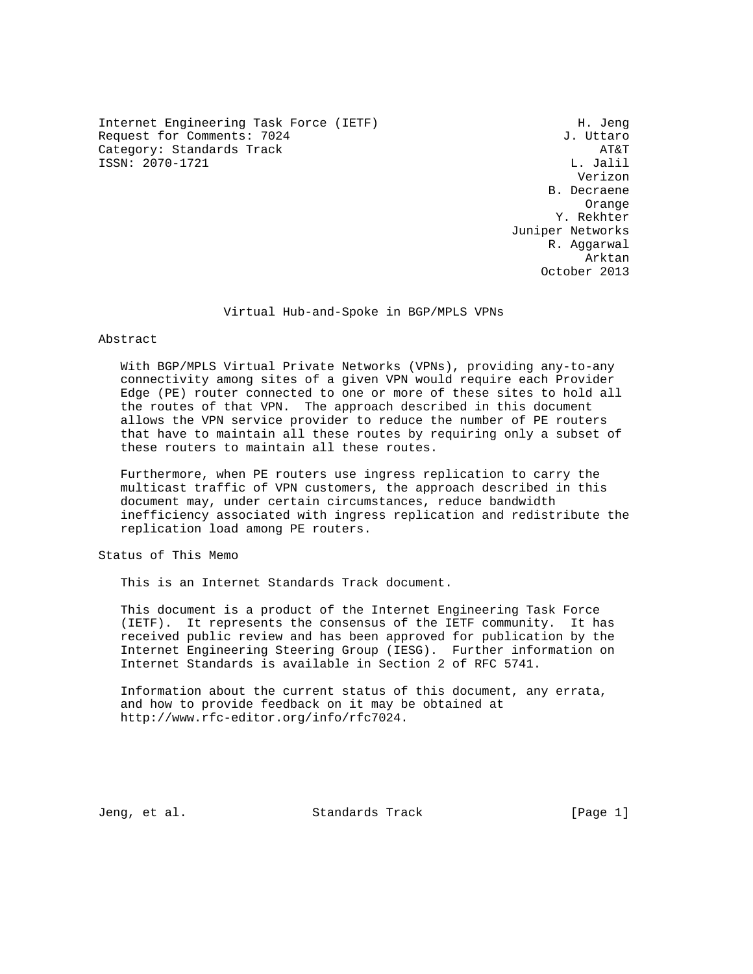Internet Engineering Task Force (IETF) H. Jeng Request for Comments: 7024 J. Uttaro Category: Standards Track AT&T ISSN: 2070-1721

 Verizon B. Decraene Orange Y. Rekhter Juniper Networks R. Aggarwal Arktan October 2013

Virtual Hub-and-Spoke in BGP/MPLS VPNs

### Abstract

 With BGP/MPLS Virtual Private Networks (VPNs), providing any-to-any connectivity among sites of a given VPN would require each Provider Edge (PE) router connected to one or more of these sites to hold all the routes of that VPN. The approach described in this document allows the VPN service provider to reduce the number of PE routers that have to maintain all these routes by requiring only a subset of these routers to maintain all these routes.

 Furthermore, when PE routers use ingress replication to carry the multicast traffic of VPN customers, the approach described in this document may, under certain circumstances, reduce bandwidth inefficiency associated with ingress replication and redistribute the replication load among PE routers.

Status of This Memo

This is an Internet Standards Track document.

 This document is a product of the Internet Engineering Task Force (IETF). It represents the consensus of the IETF community. It has received public review and has been approved for publication by the Internet Engineering Steering Group (IESG). Further information on Internet Standards is available in Section 2 of RFC 5741.

 Information about the current status of this document, any errata, and how to provide feedback on it may be obtained at http://www.rfc-editor.org/info/rfc7024.

Jeng, et al. Standards Track [Page 1]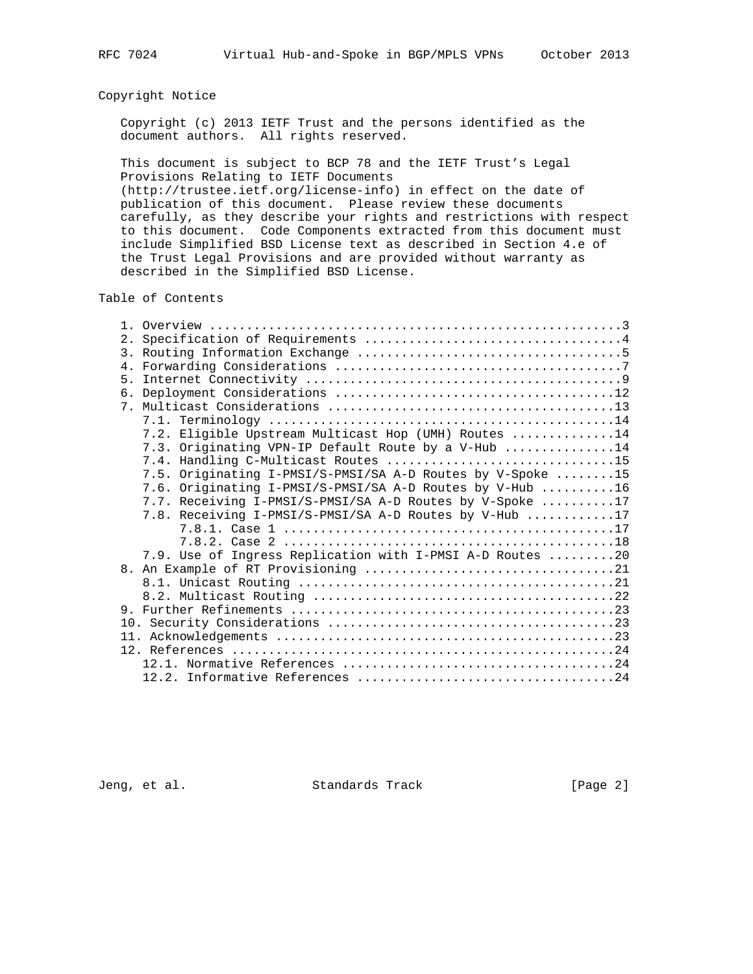# Copyright Notice

 Copyright (c) 2013 IETF Trust and the persons identified as the document authors. All rights reserved.

 This document is subject to BCP 78 and the IETF Trust's Legal Provisions Relating to IETF Documents

 (http://trustee.ietf.org/license-info) in effect on the date of publication of this document. Please review these documents carefully, as they describe your rights and restrictions with respect to this document. Code Components extracted from this document must include Simplified BSD License text as described in Section 4.e of the Trust Legal Provisions and are provided without warranty as described in the Simplified BSD License.

## Table of Contents

|  | 7.2. Eligible Upstream Multicast Hop (UMH) Routes 14       |
|--|------------------------------------------------------------|
|  | 7.3. Originating VPN-IP Default Route by a V-Hub 14        |
|  | 7.4. Handling C-Multicast Routes 15                        |
|  | 7.5. Originating I-PMSI/S-PMSI/SA A-D Routes by V-Spoke 15 |
|  | 7.6. Originating I-PMSI/S-PMSI/SA A-D Routes by V-Hub 16   |
|  | 7.7. Receiving I-PMSI/S-PMSI/SA A-D Routes by V-Spoke 17   |
|  | 7.8. Receiving I-PMSI/S-PMSI/SA A-D Routes by V-Hub 17     |
|  |                                                            |
|  |                                                            |
|  | 7.9. Use of Ingress Replication with I-PMSI A-D Routes 20  |
|  |                                                            |
|  |                                                            |
|  |                                                            |
|  |                                                            |
|  |                                                            |
|  |                                                            |
|  |                                                            |
|  |                                                            |
|  |                                                            |
|  |                                                            |

Jeng, et al. Standards Track [Page 2]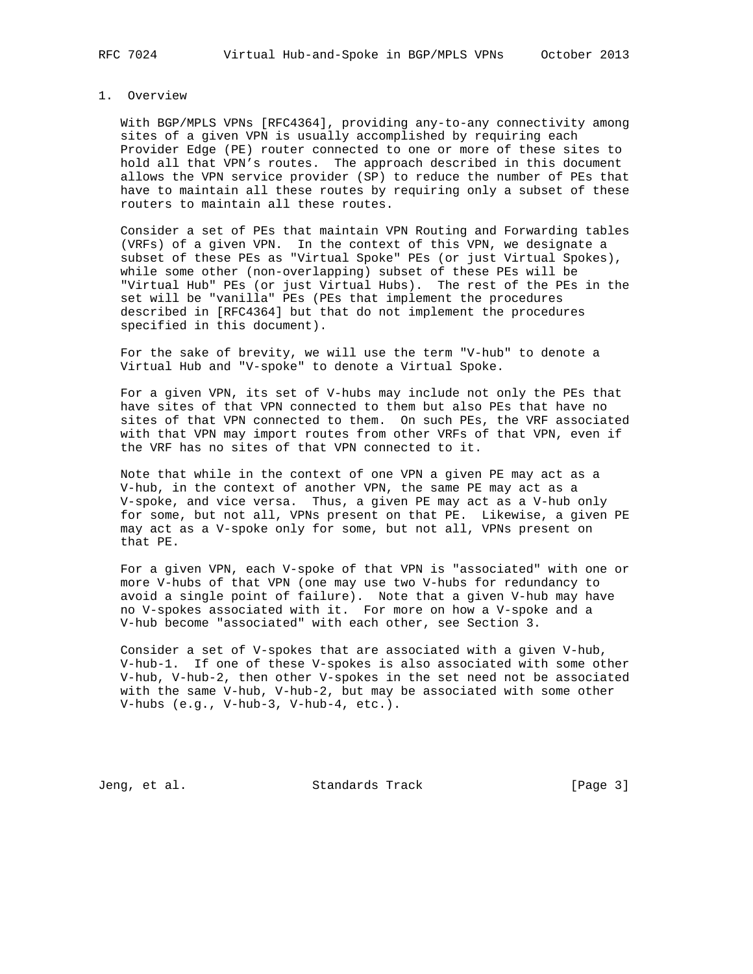#### 1. Overview

 With BGP/MPLS VPNs [RFC4364], providing any-to-any connectivity among sites of a given VPN is usually accomplished by requiring each Provider Edge (PE) router connected to one or more of these sites to hold all that VPN's routes. The approach described in this document allows the VPN service provider (SP) to reduce the number of PEs that have to maintain all these routes by requiring only a subset of these routers to maintain all these routes.

 Consider a set of PEs that maintain VPN Routing and Forwarding tables (VRFs) of a given VPN. In the context of this VPN, we designate a subset of these PEs as "Virtual Spoke" PEs (or just Virtual Spokes), while some other (non-overlapping) subset of these PEs will be "Virtual Hub" PEs (or just Virtual Hubs). The rest of the PEs in the set will be "vanilla" PEs (PEs that implement the procedures described in [RFC4364] but that do not implement the procedures specified in this document).

 For the sake of brevity, we will use the term "V-hub" to denote a Virtual Hub and "V-spoke" to denote a Virtual Spoke.

 For a given VPN, its set of V-hubs may include not only the PEs that have sites of that VPN connected to them but also PEs that have no sites of that VPN connected to them. On such PEs, the VRF associated with that VPN may import routes from other VRFs of that VPN, even if the VRF has no sites of that VPN connected to it.

 Note that while in the context of one VPN a given PE may act as a V-hub, in the context of another VPN, the same PE may act as a V-spoke, and vice versa. Thus, a given PE may act as a V-hub only for some, but not all, VPNs present on that PE. Likewise, a given PE may act as a V-spoke only for some, but not all, VPNs present on that PE.

 For a given VPN, each V-spoke of that VPN is "associated" with one or more V-hubs of that VPN (one may use two V-hubs for redundancy to avoid a single point of failure). Note that a given V-hub may have no V-spokes associated with it. For more on how a V-spoke and a V-hub become "associated" with each other, see Section 3.

 Consider a set of V-spokes that are associated with a given V-hub, V-hub-1. If one of these V-spokes is also associated with some other V-hub, V-hub-2, then other V-spokes in the set need not be associated with the same V-hub, V-hub-2, but may be associated with some other V-hubs (e.g., V-hub-3, V-hub-4, etc.).

Jeng, et al. Standards Track [Page 3]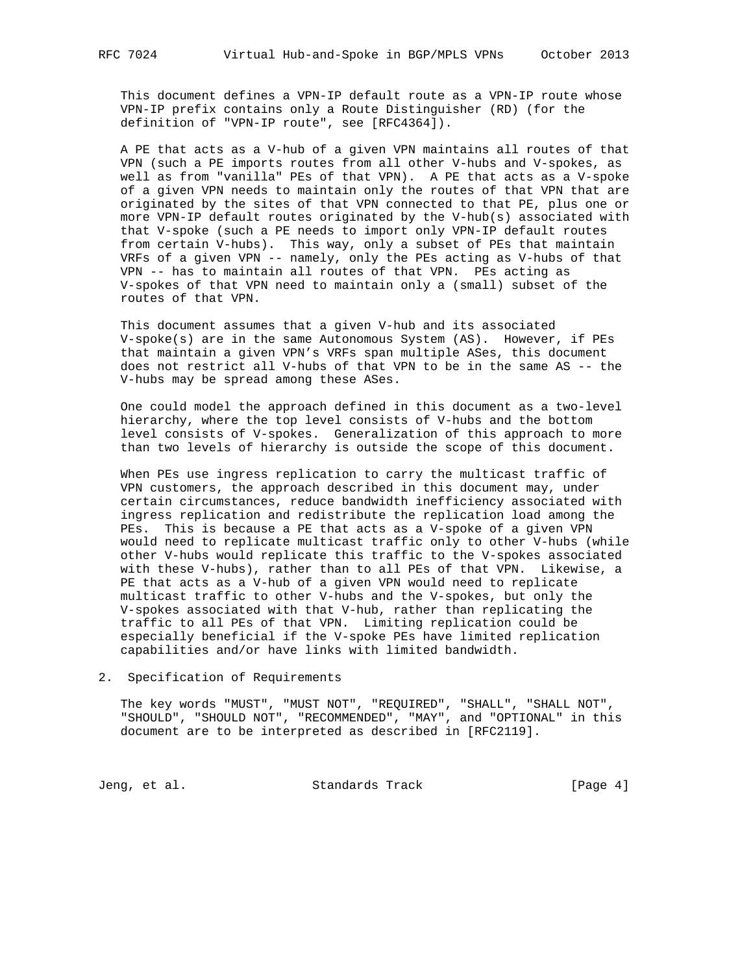This document defines a VPN-IP default route as a VPN-IP route whose VPN-IP prefix contains only a Route Distinguisher (RD) (for the definition of "VPN-IP route", see [RFC4364]).

 A PE that acts as a V-hub of a given VPN maintains all routes of that VPN (such a PE imports routes from all other V-hubs and V-spokes, as well as from "vanilla" PEs of that VPN). A PE that acts as a V-spoke of a given VPN needs to maintain only the routes of that VPN that are originated by the sites of that VPN connected to that PE, plus one or more VPN-IP default routes originated by the V-hub(s) associated with that V-spoke (such a PE needs to import only VPN-IP default routes from certain V-hubs). This way, only a subset of PEs that maintain VRFs of a given VPN -- namely, only the PEs acting as V-hubs of that VPN -- has to maintain all routes of that VPN. PEs acting as V-spokes of that VPN need to maintain only a (small) subset of the routes of that VPN.

 This document assumes that a given V-hub and its associated V-spoke(s) are in the same Autonomous System (AS). However, if PEs that maintain a given VPN's VRFs span multiple ASes, this document does not restrict all V-hubs of that VPN to be in the same AS -- the V-hubs may be spread among these ASes.

 One could model the approach defined in this document as a two-level hierarchy, where the top level consists of V-hubs and the bottom level consists of V-spokes. Generalization of this approach to more than two levels of hierarchy is outside the scope of this document.

 When PEs use ingress replication to carry the multicast traffic of VPN customers, the approach described in this document may, under certain circumstances, reduce bandwidth inefficiency associated with ingress replication and redistribute the replication load among the PEs. This is because a PE that acts as a V-spoke of a given VPN would need to replicate multicast traffic only to other V-hubs (while other V-hubs would replicate this traffic to the V-spokes associated with these V-hubs), rather than to all PEs of that VPN. Likewise, a PE that acts as a V-hub of a given VPN would need to replicate multicast traffic to other V-hubs and the V-spokes, but only the V-spokes associated with that V-hub, rather than replicating the traffic to all PEs of that VPN. Limiting replication could be especially beneficial if the V-spoke PEs have limited replication capabilities and/or have links with limited bandwidth.

2. Specification of Requirements

 The key words "MUST", "MUST NOT", "REQUIRED", "SHALL", "SHALL NOT", "SHOULD", "SHOULD NOT", "RECOMMENDED", "MAY", and "OPTIONAL" in this document are to be interpreted as described in [RFC2119].

Jeng, et al. Standards Track [Page 4]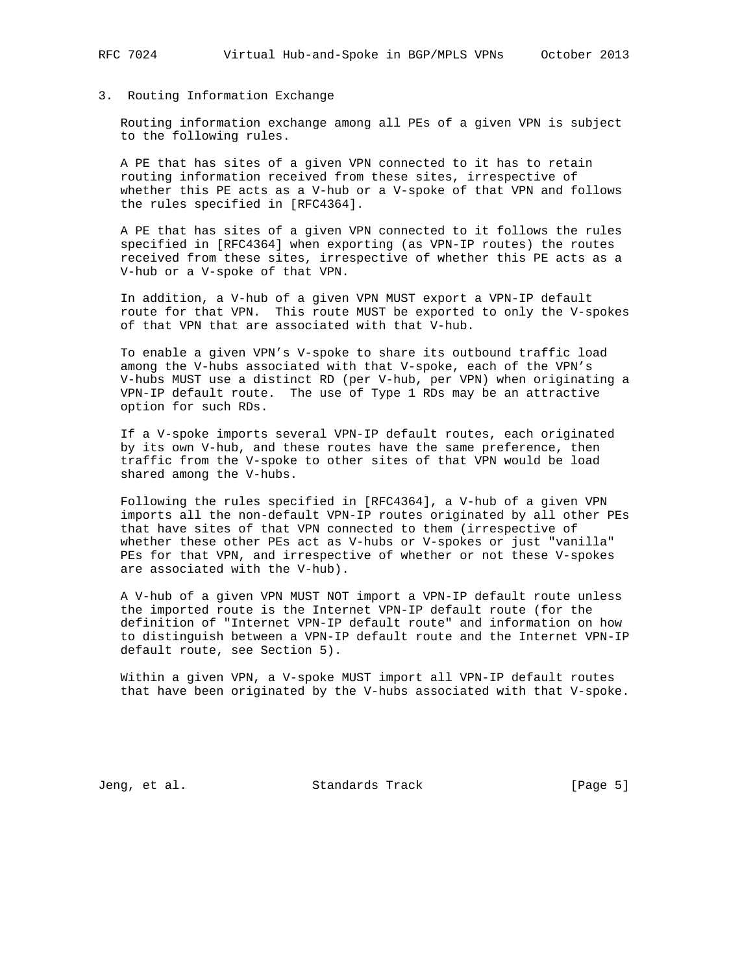#### 3. Routing Information Exchange

 Routing information exchange among all PEs of a given VPN is subject to the following rules.

 A PE that has sites of a given VPN connected to it has to retain routing information received from these sites, irrespective of whether this PE acts as a V-hub or a V-spoke of that VPN and follows the rules specified in [RFC4364].

 A PE that has sites of a given VPN connected to it follows the rules specified in [RFC4364] when exporting (as VPN-IP routes) the routes received from these sites, irrespective of whether this PE acts as a V-hub or a V-spoke of that VPN.

 In addition, a V-hub of a given VPN MUST export a VPN-IP default route for that VPN. This route MUST be exported to only the V-spokes of that VPN that are associated with that V-hub.

 To enable a given VPN's V-spoke to share its outbound traffic load among the V-hubs associated with that V-spoke, each of the VPN's V-hubs MUST use a distinct RD (per V-hub, per VPN) when originating a VPN-IP default route. The use of Type 1 RDs may be an attractive option for such RDs.

 If a V-spoke imports several VPN-IP default routes, each originated by its own V-hub, and these routes have the same preference, then traffic from the V-spoke to other sites of that VPN would be load shared among the V-hubs.

 Following the rules specified in [RFC4364], a V-hub of a given VPN imports all the non-default VPN-IP routes originated by all other PEs that have sites of that VPN connected to them (irrespective of whether these other PEs act as V-hubs or V-spokes or just "vanilla" PEs for that VPN, and irrespective of whether or not these V-spokes are associated with the V-hub).

 A V-hub of a given VPN MUST NOT import a VPN-IP default route unless the imported route is the Internet VPN-IP default route (for the definition of "Internet VPN-IP default route" and information on how to distinguish between a VPN-IP default route and the Internet VPN-IP default route, see Section 5).

 Within a given VPN, a V-spoke MUST import all VPN-IP default routes that have been originated by the V-hubs associated with that V-spoke.

Jeng, et al. Standards Track [Page 5]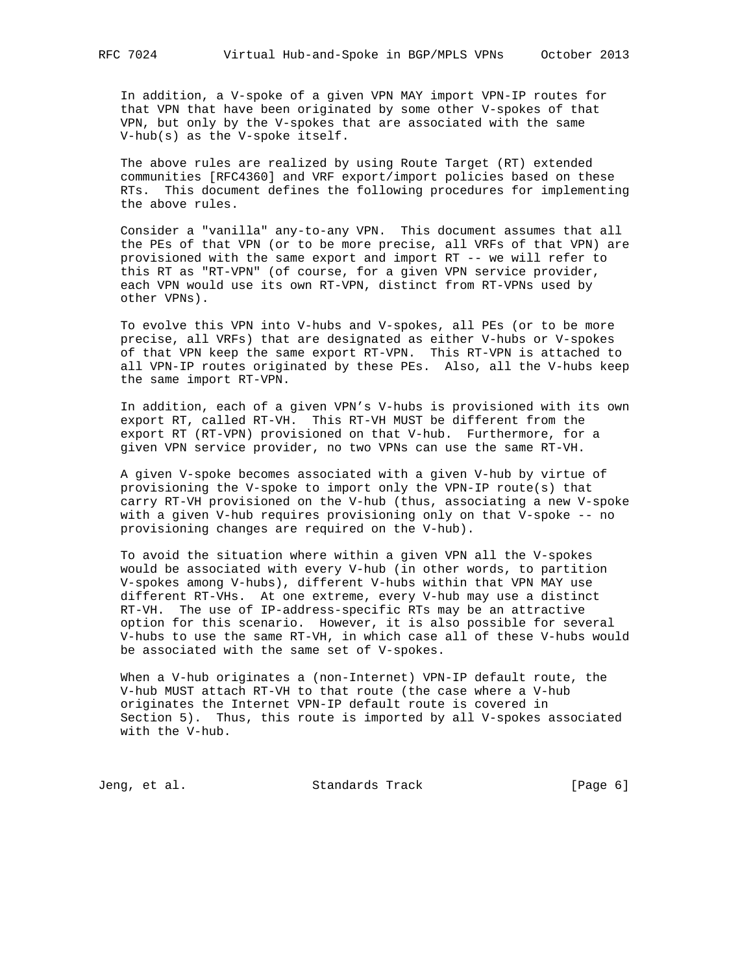In addition, a V-spoke of a given VPN MAY import VPN-IP routes for that VPN that have been originated by some other V-spokes of that VPN, but only by the V-spokes that are associated with the same V-hub(s) as the V-spoke itself.

 The above rules are realized by using Route Target (RT) extended communities [RFC4360] and VRF export/import policies based on these RTs. This document defines the following procedures for implementing the above rules.

 Consider a "vanilla" any-to-any VPN. This document assumes that all the PEs of that VPN (or to be more precise, all VRFs of that VPN) are provisioned with the same export and import RT -- we will refer to this RT as "RT-VPN" (of course, for a given VPN service provider, each VPN would use its own RT-VPN, distinct from RT-VPNs used by other VPNs).

 To evolve this VPN into V-hubs and V-spokes, all PEs (or to be more precise, all VRFs) that are designated as either V-hubs or V-spokes of that VPN keep the same export RT-VPN. This RT-VPN is attached to all VPN-IP routes originated by these PEs. Also, all the V-hubs keep the same import RT-VPN.

 In addition, each of a given VPN's V-hubs is provisioned with its own export RT, called RT-VH. This RT-VH MUST be different from the export RT (RT-VPN) provisioned on that V-hub. Furthermore, for a given VPN service provider, no two VPNs can use the same RT-VH.

 A given V-spoke becomes associated with a given V-hub by virtue of provisioning the V-spoke to import only the VPN-IP route(s) that carry RT-VH provisioned on the V-hub (thus, associating a new V-spoke with a given V-hub requires provisioning only on that V-spoke -- no provisioning changes are required on the V-hub).

 To avoid the situation where within a given VPN all the V-spokes would be associated with every V-hub (in other words, to partition V-spokes among V-hubs), different V-hubs within that VPN MAY use different RT-VHs. At one extreme, every V-hub may use a distinct RT-VH. The use of IP-address-specific RTs may be an attractive option for this scenario. However, it is also possible for several V-hubs to use the same RT-VH, in which case all of these V-hubs would be associated with the same set of V-spokes.

 When a V-hub originates a (non-Internet) VPN-IP default route, the V-hub MUST attach RT-VH to that route (the case where a V-hub originates the Internet VPN-IP default route is covered in Section 5). Thus, this route is imported by all V-spokes associated with the V-hub.

Jeng, et al. Standards Track [Page 6]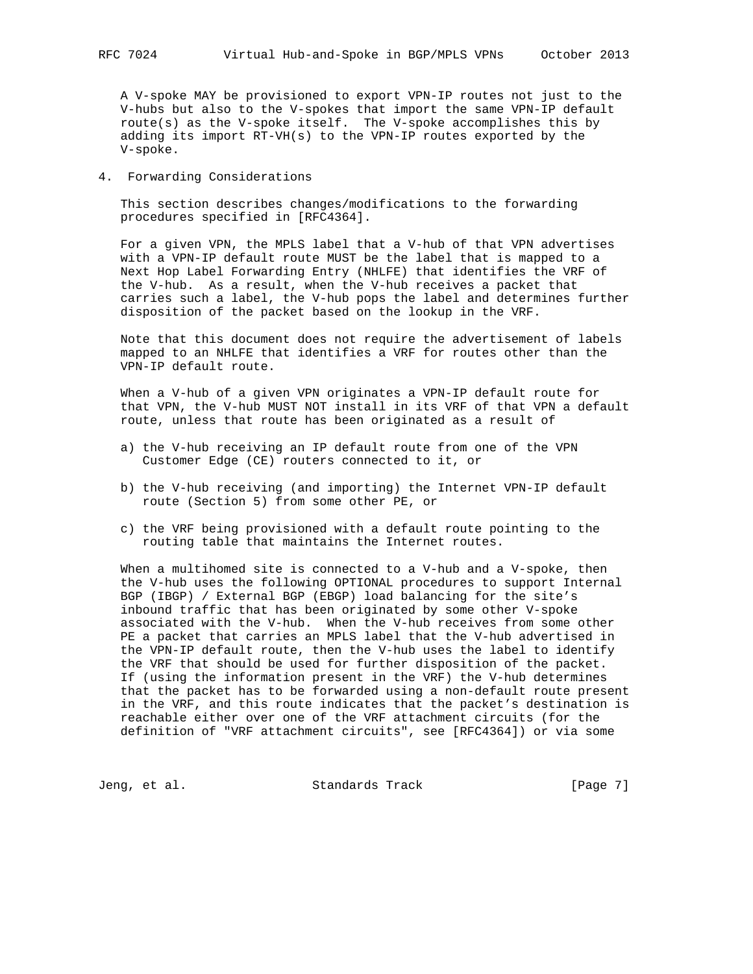A V-spoke MAY be provisioned to export VPN-IP routes not just to the V-hubs but also to the V-spokes that import the same VPN-IP default route(s) as the V-spoke itself. The V-spoke accomplishes this by adding its import RT-VH(s) to the VPN-IP routes exported by the V-spoke.

4. Forwarding Considerations

 This section describes changes/modifications to the forwarding procedures specified in [RFC4364].

 For a given VPN, the MPLS label that a V-hub of that VPN advertises with a VPN-IP default route MUST be the label that is mapped to a Next Hop Label Forwarding Entry (NHLFE) that identifies the VRF of the V-hub. As a result, when the V-hub receives a packet that carries such a label, the V-hub pops the label and determines further disposition of the packet based on the lookup in the VRF.

 Note that this document does not require the advertisement of labels mapped to an NHLFE that identifies a VRF for routes other than the VPN-IP default route.

 When a V-hub of a given VPN originates a VPN-IP default route for that VPN, the V-hub MUST NOT install in its VRF of that VPN a default route, unless that route has been originated as a result of

- a) the V-hub receiving an IP default route from one of the VPN Customer Edge (CE) routers connected to it, or
- b) the V-hub receiving (and importing) the Internet VPN-IP default route (Section 5) from some other PE, or
- c) the VRF being provisioned with a default route pointing to the routing table that maintains the Internet routes.

 When a multihomed site is connected to a V-hub and a V-spoke, then the V-hub uses the following OPTIONAL procedures to support Internal BGP (IBGP) / External BGP (EBGP) load balancing for the site's inbound traffic that has been originated by some other V-spoke associated with the V-hub. When the V-hub receives from some other PE a packet that carries an MPLS label that the V-hub advertised in the VPN-IP default route, then the V-hub uses the label to identify the VRF that should be used for further disposition of the packet. If (using the information present in the VRF) the V-hub determines that the packet has to be forwarded using a non-default route present in the VRF, and this route indicates that the packet's destination is reachable either over one of the VRF attachment circuits (for the definition of "VRF attachment circuits", see [RFC4364]) or via some

Jeng, et al. Standards Track [Page 7]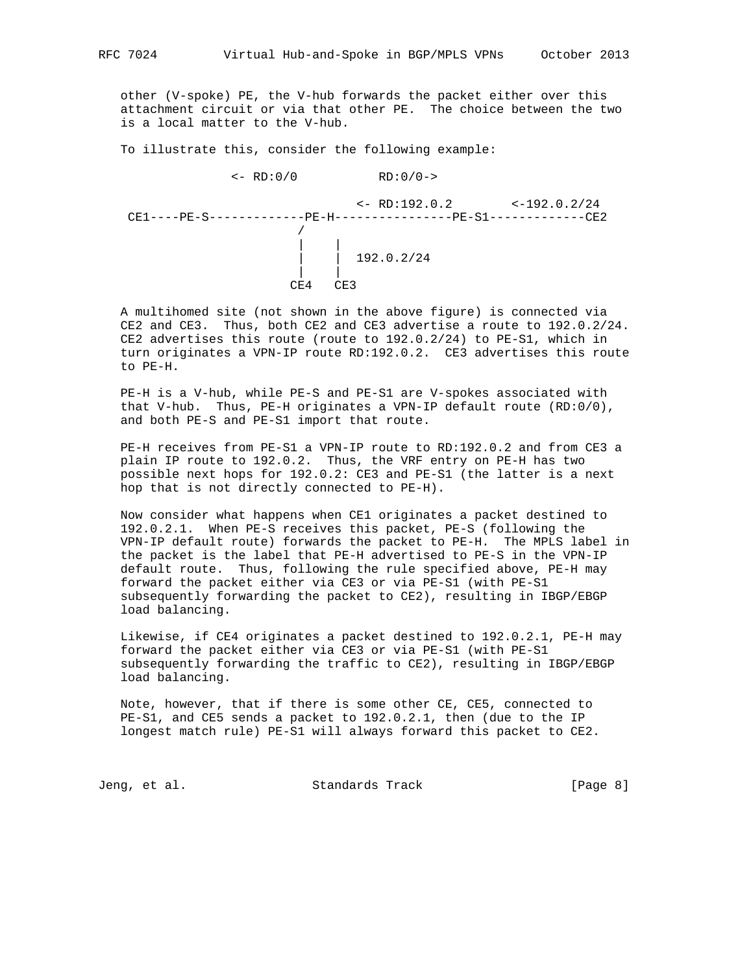other (V-spoke) PE, the V-hub forwards the packet either over this attachment circuit or via that other PE. The choice between the two is a local matter to the V-hub.

To illustrate this, consider the following example:

CE4 CE3

 $<-$  RD:0/0 RD:0/0-> <- RD:192.0.2 <-192.0.2/24 CE1----PE-S-------------PE-H----------------PE-S1-------------CE2 / | | | | 192.0.2/24 | |

 A multihomed site (not shown in the above figure) is connected via CE2 and CE3. Thus, both CE2 and CE3 advertise a route to 192.0.2/24. CE2 advertises this route (route to 192.0.2/24) to PE-S1, which in turn originates a VPN-IP route RD:192.0.2. CE3 advertises this route to PE-H.

 PE-H is a V-hub, while PE-S and PE-S1 are V-spokes associated with that V-hub. Thus, PE-H originates a VPN-IP default route (RD:0/0), and both PE-S and PE-S1 import that route.

 PE-H receives from PE-S1 a VPN-IP route to RD:192.0.2 and from CE3 a plain IP route to 192.0.2. Thus, the VRF entry on PE-H has two possible next hops for 192.0.2: CE3 and PE-S1 (the latter is a next hop that is not directly connected to PE-H).

 Now consider what happens when CE1 originates a packet destined to 192.0.2.1. When PE-S receives this packet, PE-S (following the VPN-IP default route) forwards the packet to PE-H. The MPLS label in the packet is the label that PE-H advertised to PE-S in the VPN-IP default route. Thus, following the rule specified above, PE-H may forward the packet either via CE3 or via PE-S1 (with PE-S1 subsequently forwarding the packet to CE2), resulting in IBGP/EBGP load balancing.

 Likewise, if CE4 originates a packet destined to 192.0.2.1, PE-H may forward the packet either via CE3 or via PE-S1 (with PE-S1 subsequently forwarding the traffic to CE2), resulting in IBGP/EBGP load balancing.

 Note, however, that if there is some other CE, CE5, connected to PE-S1, and CE5 sends a packet to 192.0.2.1, then (due to the IP longest match rule) PE-S1 will always forward this packet to CE2.

Jeng, et al. Standards Track [Page 8]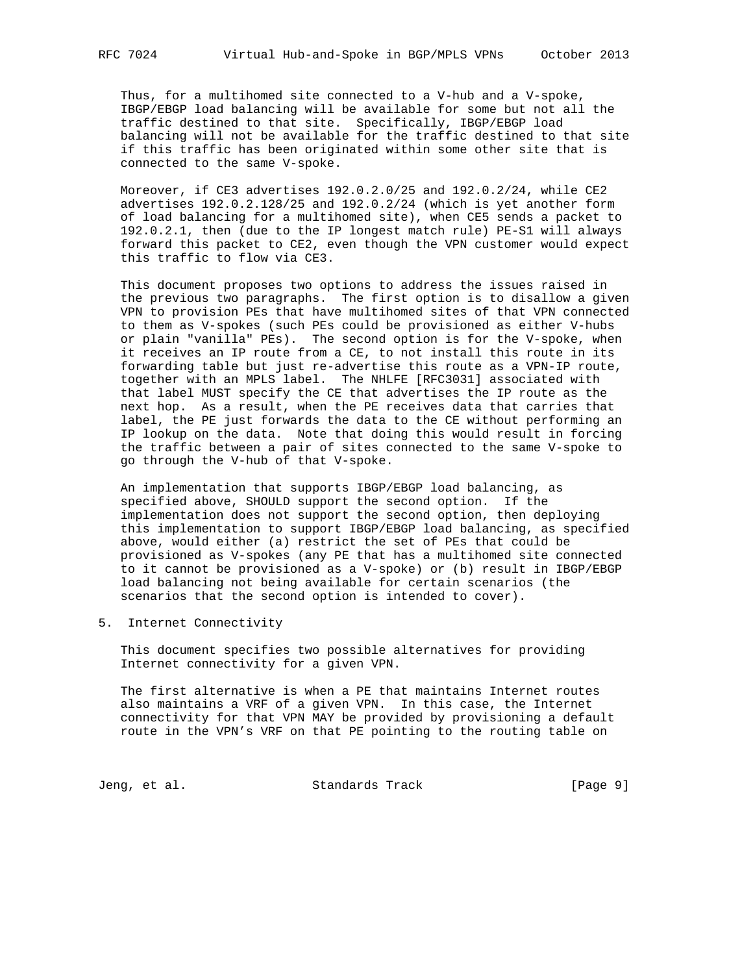Thus, for a multihomed site connected to a V-hub and a V-spoke, IBGP/EBGP load balancing will be available for some but not all the traffic destined to that site. Specifically, IBGP/EBGP load balancing will not be available for the traffic destined to that site if this traffic has been originated within some other site that is connected to the same V-spoke.

 Moreover, if CE3 advertises 192.0.2.0/25 and 192.0.2/24, while CE2 advertises 192.0.2.128/25 and 192.0.2/24 (which is yet another form of load balancing for a multihomed site), when CE5 sends a packet to 192.0.2.1, then (due to the IP longest match rule) PE-S1 will always forward this packet to CE2, even though the VPN customer would expect this traffic to flow via CE3.

 This document proposes two options to address the issues raised in the previous two paragraphs. The first option is to disallow a given VPN to provision PEs that have multihomed sites of that VPN connected to them as V-spokes (such PEs could be provisioned as either V-hubs or plain "vanilla" PEs). The second option is for the V-spoke, when it receives an IP route from a CE, to not install this route in its forwarding table but just re-advertise this route as a VPN-IP route, together with an MPLS label. The NHLFE [RFC3031] associated with that label MUST specify the CE that advertises the IP route as the next hop. As a result, when the PE receives data that carries that label, the PE just forwards the data to the CE without performing an IP lookup on the data. Note that doing this would result in forcing the traffic between a pair of sites connected to the same V-spoke to go through the V-hub of that V-spoke.

 An implementation that supports IBGP/EBGP load balancing, as specified above, SHOULD support the second option. If the implementation does not support the second option, then deploying this implementation to support IBGP/EBGP load balancing, as specified above, would either (a) restrict the set of PEs that could be provisioned as V-spokes (any PE that has a multihomed site connected to it cannot be provisioned as a V-spoke) or (b) result in IBGP/EBGP load balancing not being available for certain scenarios (the scenarios that the second option is intended to cover).

5. Internet Connectivity

 This document specifies two possible alternatives for providing Internet connectivity for a given VPN.

 The first alternative is when a PE that maintains Internet routes also maintains a VRF of a given VPN. In this case, the Internet connectivity for that VPN MAY be provided by provisioning a default route in the VPN's VRF on that PE pointing to the routing table on

Jeng, et al. Standards Track [Page 9]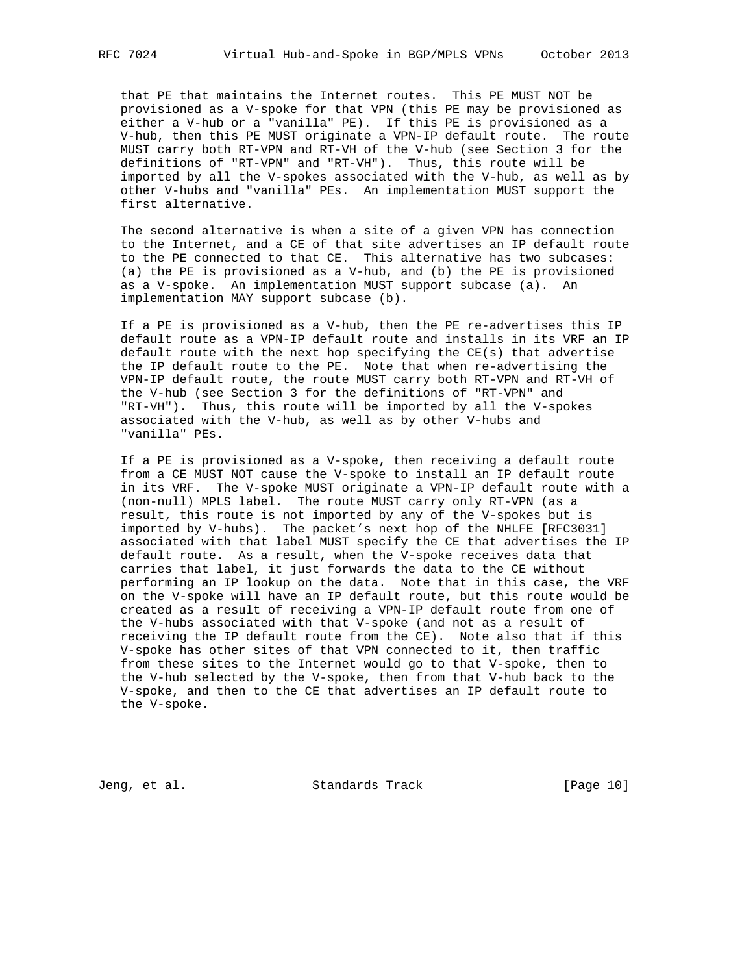that PE that maintains the Internet routes. This PE MUST NOT be provisioned as a V-spoke for that VPN (this PE may be provisioned as either a V-hub or a "vanilla" PE). If this PE is provisioned as a V-hub, then this PE MUST originate a VPN-IP default route. The route MUST carry both RT-VPN and RT-VH of the V-hub (see Section 3 for the definitions of "RT-VPN" and "RT-VH"). Thus, this route will be imported by all the V-spokes associated with the V-hub, as well as by other V-hubs and "vanilla" PEs. An implementation MUST support the first alternative.

 The second alternative is when a site of a given VPN has connection to the Internet, and a CE of that site advertises an IP default route to the PE connected to that CE. This alternative has two subcases: (a) the PE is provisioned as a V-hub, and (b) the PE is provisioned as a V-spoke. An implementation MUST support subcase (a). An implementation MAY support subcase (b).

 If a PE is provisioned as a V-hub, then the PE re-advertises this IP default route as a VPN-IP default route and installs in its VRF an IP default route with the next hop specifying the CE(s) that advertise the IP default route to the PE. Note that when re-advertising the VPN-IP default route, the route MUST carry both RT-VPN and RT-VH of the V-hub (see Section 3 for the definitions of "RT-VPN" and "RT-VH"). Thus, this route will be imported by all the V-spokes associated with the V-hub, as well as by other V-hubs and "vanilla" PEs.

 If a PE is provisioned as a V-spoke, then receiving a default route from a CE MUST NOT cause the V-spoke to install an IP default route in its VRF. The V-spoke MUST originate a VPN-IP default route with a (non-null) MPLS label. The route MUST carry only RT-VPN (as a result, this route is not imported by any of the V-spokes but is imported by V-hubs). The packet's next hop of the NHLFE [RFC3031] associated with that label MUST specify the CE that advertises the IP default route. As a result, when the V-spoke receives data that carries that label, it just forwards the data to the CE without performing an IP lookup on the data. Note that in this case, the VRF on the V-spoke will have an IP default route, but this route would be created as a result of receiving a VPN-IP default route from one of the V-hubs associated with that V-spoke (and not as a result of receiving the IP default route from the CE). Note also that if this V-spoke has other sites of that VPN connected to it, then traffic from these sites to the Internet would go to that V-spoke, then to the V-hub selected by the V-spoke, then from that V-hub back to the V-spoke, and then to the CE that advertises an IP default route to the V-spoke.

Jeng, et al. Standards Track [Page 10]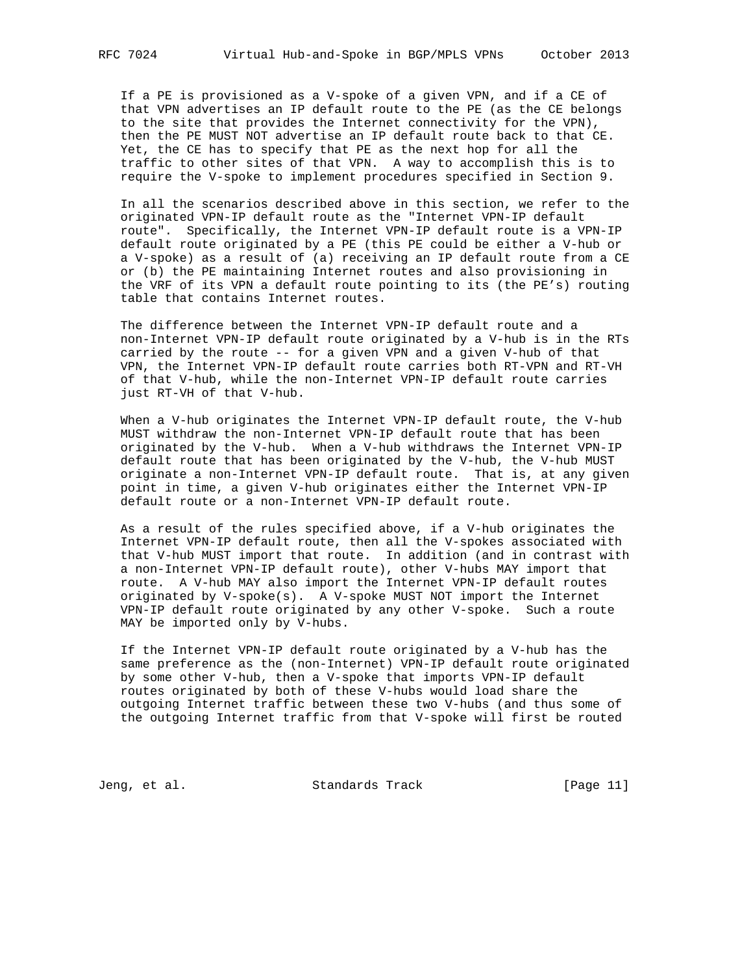If a PE is provisioned as a V-spoke of a given VPN, and if a CE of that VPN advertises an IP default route to the PE (as the CE belongs to the site that provides the Internet connectivity for the VPN), then the PE MUST NOT advertise an IP default route back to that CE. Yet, the CE has to specify that PE as the next hop for all the traffic to other sites of that VPN. A way to accomplish this is to require the V-spoke to implement procedures specified in Section 9.

 In all the scenarios described above in this section, we refer to the originated VPN-IP default route as the "Internet VPN-IP default route". Specifically, the Internet VPN-IP default route is a VPN-IP default route originated by a PE (this PE could be either a V-hub or a V-spoke) as a result of (a) receiving an IP default route from a CE or (b) the PE maintaining Internet routes and also provisioning in the VRF of its VPN a default route pointing to its (the PE's) routing table that contains Internet routes.

 The difference between the Internet VPN-IP default route and a non-Internet VPN-IP default route originated by a V-hub is in the RTs carried by the route -- for a given VPN and a given V-hub of that VPN, the Internet VPN-IP default route carries both RT-VPN and RT-VH of that V-hub, while the non-Internet VPN-IP default route carries just RT-VH of that V-hub.

 When a V-hub originates the Internet VPN-IP default route, the V-hub MUST withdraw the non-Internet VPN-IP default route that has been originated by the V-hub. When a V-hub withdraws the Internet VPN-IP default route that has been originated by the V-hub, the V-hub MUST originate a non-Internet VPN-IP default route. That is, at any given point in time, a given V-hub originates either the Internet VPN-IP default route or a non-Internet VPN-IP default route.

 As a result of the rules specified above, if a V-hub originates the Internet VPN-IP default route, then all the V-spokes associated with that V-hub MUST import that route. In addition (and in contrast with a non-Internet VPN-IP default route), other V-hubs MAY import that route. A V-hub MAY also import the Internet VPN-IP default routes originated by V-spoke(s). A V-spoke MUST NOT import the Internet VPN-IP default route originated by any other V-spoke. Such a route MAY be imported only by V-hubs.

 If the Internet VPN-IP default route originated by a V-hub has the same preference as the (non-Internet) VPN-IP default route originated by some other V-hub, then a V-spoke that imports VPN-IP default routes originated by both of these V-hubs would load share the outgoing Internet traffic between these two V-hubs (and thus some of the outgoing Internet traffic from that V-spoke will first be routed

Jeng, et al. Standards Track [Page 11]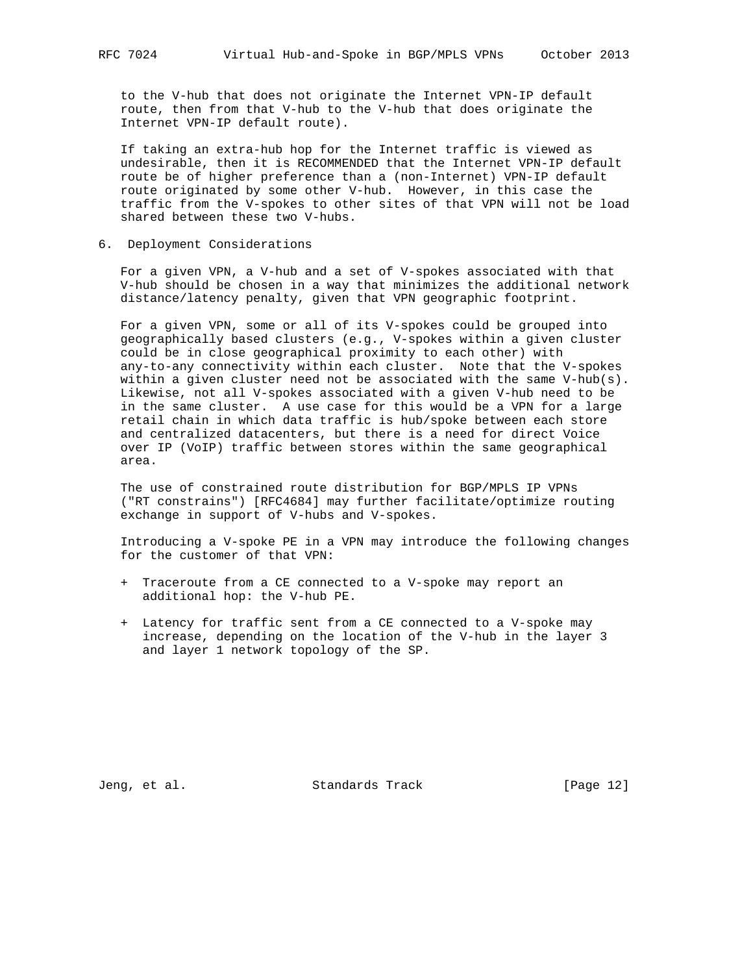to the V-hub that does not originate the Internet VPN-IP default route, then from that V-hub to the V-hub that does originate the Internet VPN-IP default route).

 If taking an extra-hub hop for the Internet traffic is viewed as undesirable, then it is RECOMMENDED that the Internet VPN-IP default route be of higher preference than a (non-Internet) VPN-IP default route originated by some other V-hub. However, in this case the traffic from the V-spokes to other sites of that VPN will not be load shared between these two V-hubs.

6. Deployment Considerations

 For a given VPN, a V-hub and a set of V-spokes associated with that V-hub should be chosen in a way that minimizes the additional network distance/latency penalty, given that VPN geographic footprint.

 For a given VPN, some or all of its V-spokes could be grouped into geographically based clusters (e.g., V-spokes within a given cluster could be in close geographical proximity to each other) with any-to-any connectivity within each cluster. Note that the V-spokes within a given cluster need not be associated with the same V-hub(s). Likewise, not all V-spokes associated with a given V-hub need to be in the same cluster. A use case for this would be a VPN for a large retail chain in which data traffic is hub/spoke between each store and centralized datacenters, but there is a need for direct Voice over IP (VoIP) traffic between stores within the same geographical area.

 The use of constrained route distribution for BGP/MPLS IP VPNs ("RT constrains") [RFC4684] may further facilitate/optimize routing exchange in support of V-hubs and V-spokes.

 Introducing a V-spoke PE in a VPN may introduce the following changes for the customer of that VPN:

- + Traceroute from a CE connected to a V-spoke may report an additional hop: the V-hub PE.
- + Latency for traffic sent from a CE connected to a V-spoke may increase, depending on the location of the V-hub in the layer 3 and layer 1 network topology of the SP.

Jeng, et al. Standards Track [Page 12]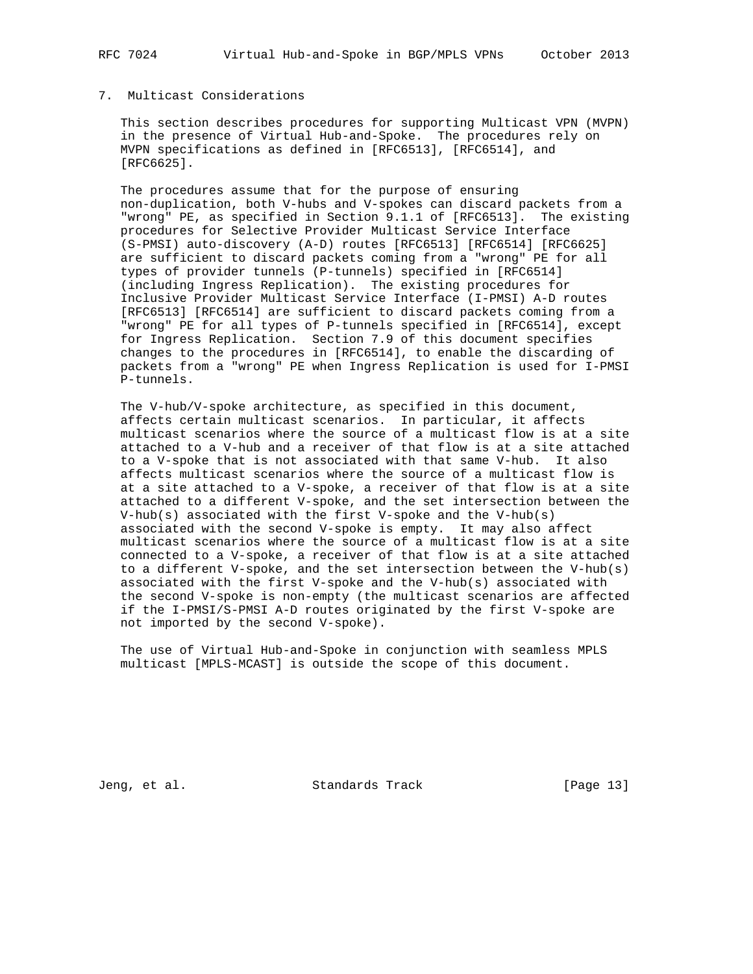# 7. Multicast Considerations

 This section describes procedures for supporting Multicast VPN (MVPN) in the presence of Virtual Hub-and-Spoke. The procedures rely on MVPN specifications as defined in [RFC6513], [RFC6514], and [RFC6625].

 The procedures assume that for the purpose of ensuring non-duplication, both V-hubs and V-spokes can discard packets from a "wrong" PE, as specified in Section 9.1.1 of [RFC6513]. The existing procedures for Selective Provider Multicast Service Interface (S-PMSI) auto-discovery (A-D) routes [RFC6513] [RFC6514] [RFC6625] are sufficient to discard packets coming from a "wrong" PE for all types of provider tunnels (P-tunnels) specified in [RFC6514] (including Ingress Replication). The existing procedures for Inclusive Provider Multicast Service Interface (I-PMSI) A-D routes [RFC6513] [RFC6514] are sufficient to discard packets coming from a "wrong" PE for all types of P-tunnels specified in [RFC6514], except for Ingress Replication. Section 7.9 of this document specifies changes to the procedures in [RFC6514], to enable the discarding of packets from a "wrong" PE when Ingress Replication is used for I-PMSI P-tunnels.

 The V-hub/V-spoke architecture, as specified in this document, affects certain multicast scenarios. In particular, it affects multicast scenarios where the source of a multicast flow is at a site attached to a V-hub and a receiver of that flow is at a site attached to a V-spoke that is not associated with that same V-hub. It also affects multicast scenarios where the source of a multicast flow is at a site attached to a V-spoke, a receiver of that flow is at a site attached to a different V-spoke, and the set intersection between the V-hub(s) associated with the first V-spoke and the V-hub(s) associated with the second V-spoke is empty. It may also affect multicast scenarios where the source of a multicast flow is at a site connected to a V-spoke, a receiver of that flow is at a site attached to a different V-spoke, and the set intersection between the V-hub(s) associated with the first V-spoke and the V-hub(s) associated with the second V-spoke is non-empty (the multicast scenarios are affected if the I-PMSI/S-PMSI A-D routes originated by the first V-spoke are not imported by the second V-spoke).

 The use of Virtual Hub-and-Spoke in conjunction with seamless MPLS multicast [MPLS-MCAST] is outside the scope of this document.

Jeng, et al. Standards Track [Page 13]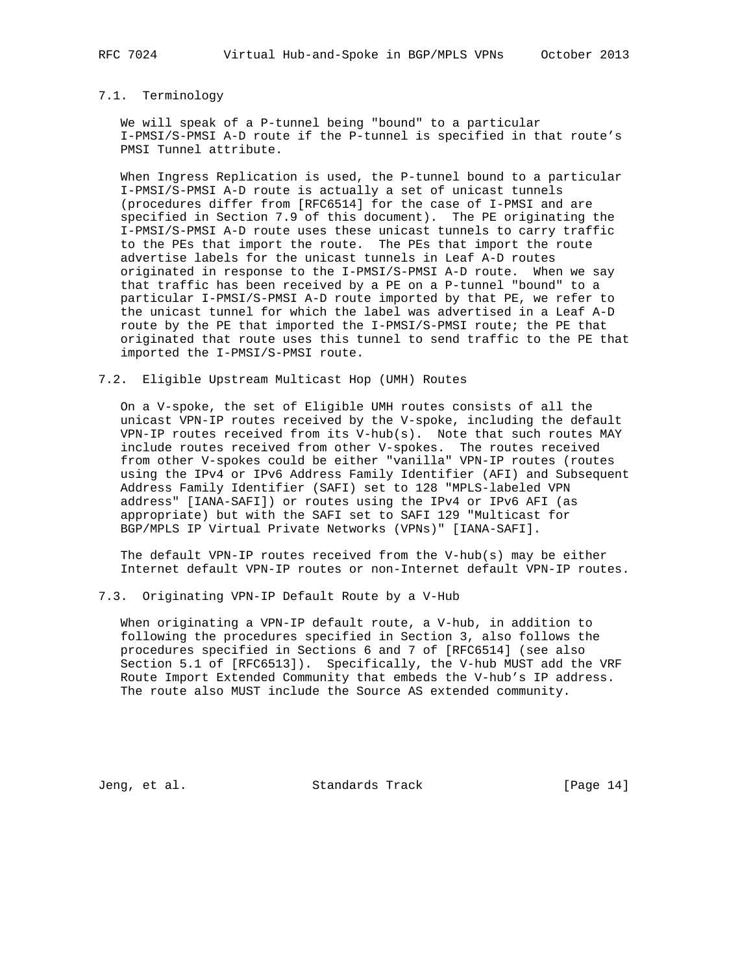# 7.1. Terminology

 We will speak of a P-tunnel being "bound" to a particular I-PMSI/S-PMSI A-D route if the P-tunnel is specified in that route's PMSI Tunnel attribute.

 When Ingress Replication is used, the P-tunnel bound to a particular I-PMSI/S-PMSI A-D route is actually a set of unicast tunnels (procedures differ from [RFC6514] for the case of I-PMSI and are specified in Section 7.9 of this document). The PE originating the I-PMSI/S-PMSI A-D route uses these unicast tunnels to carry traffic to the PEs that import the route. The PEs that import the route advertise labels for the unicast tunnels in Leaf A-D routes originated in response to the I-PMSI/S-PMSI A-D route. When we say that traffic has been received by a PE on a P-tunnel "bound" to a particular I-PMSI/S-PMSI A-D route imported by that PE, we refer to the unicast tunnel for which the label was advertised in a Leaf A-D route by the PE that imported the I-PMSI/S-PMSI route; the PE that originated that route uses this tunnel to send traffic to the PE that imported the I-PMSI/S-PMSI route.

7.2. Eligible Upstream Multicast Hop (UMH) Routes

 On a V-spoke, the set of Eligible UMH routes consists of all the unicast VPN-IP routes received by the V-spoke, including the default VPN-IP routes received from its V-hub(s). Note that such routes MAY include routes received from other V-spokes. The routes received from other V-spokes could be either "vanilla" VPN-IP routes (routes using the IPv4 or IPv6 Address Family Identifier (AFI) and Subsequent Address Family Identifier (SAFI) set to 128 "MPLS-labeled VPN address" [IANA-SAFI]) or routes using the IPv4 or IPv6 AFI (as appropriate) but with the SAFI set to SAFI 129 "Multicast for BGP/MPLS IP Virtual Private Networks (VPNs)" [IANA-SAFI].

 The default VPN-IP routes received from the V-hub(s) may be either Internet default VPN-IP routes or non-Internet default VPN-IP routes.

7.3. Originating VPN-IP Default Route by a V-Hub

 When originating a VPN-IP default route, a V-hub, in addition to following the procedures specified in Section 3, also follows the procedures specified in Sections 6 and 7 of [RFC6514] (see also Section 5.1 of [RFC6513]). Specifically, the V-hub MUST add the VRF Route Import Extended Community that embeds the V-hub's IP address. The route also MUST include the Source AS extended community.

Jeng, et al. Standards Track [Page 14]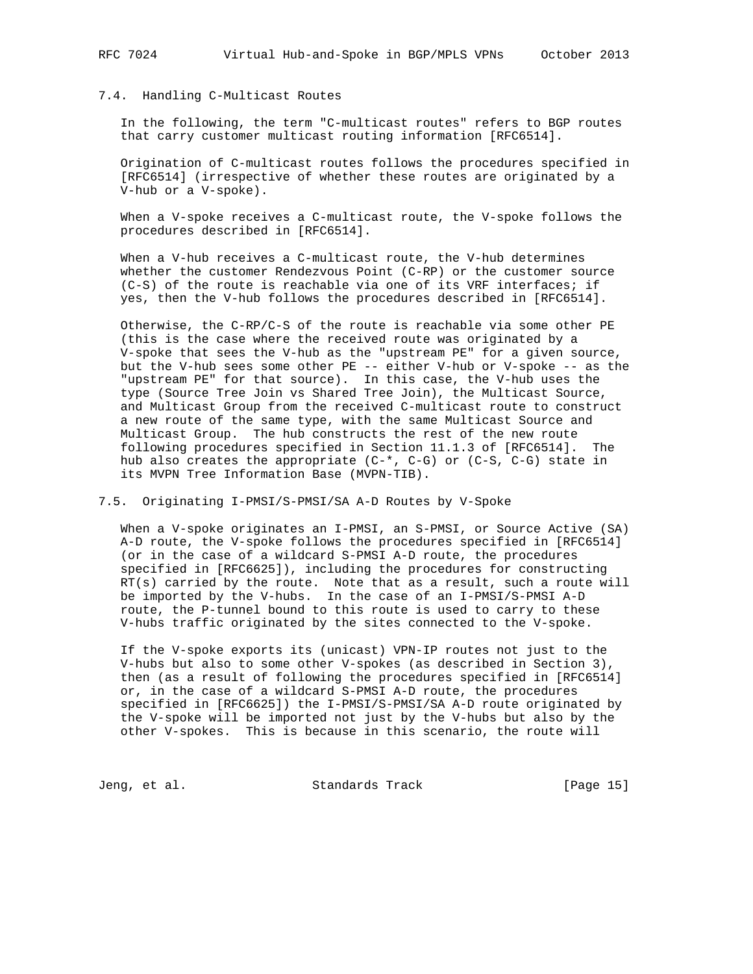## 7.4. Handling C-Multicast Routes

 In the following, the term "C-multicast routes" refers to BGP routes that carry customer multicast routing information [RFC6514].

 Origination of C-multicast routes follows the procedures specified in [RFC6514] (irrespective of whether these routes are originated by a V-hub or a V-spoke).

When a V-spoke receives a C-multicast route, the V-spoke follows the procedures described in [RFC6514].

 When a V-hub receives a C-multicast route, the V-hub determines whether the customer Rendezvous Point (C-RP) or the customer source (C-S) of the route is reachable via one of its VRF interfaces; if yes, then the V-hub follows the procedures described in [RFC6514].

 Otherwise, the C-RP/C-S of the route is reachable via some other PE (this is the case where the received route was originated by a V-spoke that sees the V-hub as the "upstream PE" for a given source, but the V-hub sees some other PE -- either V-hub or V-spoke -- as the "upstream PE" for that source). In this case, the V-hub uses the type (Source Tree Join vs Shared Tree Join), the Multicast Source, and Multicast Group from the received C-multicast route to construct a new route of the same type, with the same Multicast Source and Multicast Group. The hub constructs the rest of the new route following procedures specified in Section 11.1.3 of [RFC6514]. The hub also creates the appropriate (C-\*, C-G) or (C-S, C-G) state in its MVPN Tree Information Base (MVPN-TIB).

#### 7.5. Originating I-PMSI/S-PMSI/SA A-D Routes by V-Spoke

When a V-spoke originates an I-PMSI, an S-PMSI, or Source Active (SA) A-D route, the V-spoke follows the procedures specified in [RFC6514] (or in the case of a wildcard S-PMSI A-D route, the procedures specified in [RFC6625]), including the procedures for constructing RT(s) carried by the route. Note that as a result, such a route will be imported by the V-hubs. In the case of an I-PMSI/S-PMSI A-D route, the P-tunnel bound to this route is used to carry to these V-hubs traffic originated by the sites connected to the V-spoke.

 If the V-spoke exports its (unicast) VPN-IP routes not just to the V-hubs but also to some other V-spokes (as described in Section 3), then (as a result of following the procedures specified in [RFC6514] or, in the case of a wildcard S-PMSI A-D route, the procedures specified in [RFC6625]) the I-PMSI/S-PMSI/SA A-D route originated by the V-spoke will be imported not just by the V-hubs but also by the other V-spokes. This is because in this scenario, the route will

Jeng, et al. Standards Track [Page 15]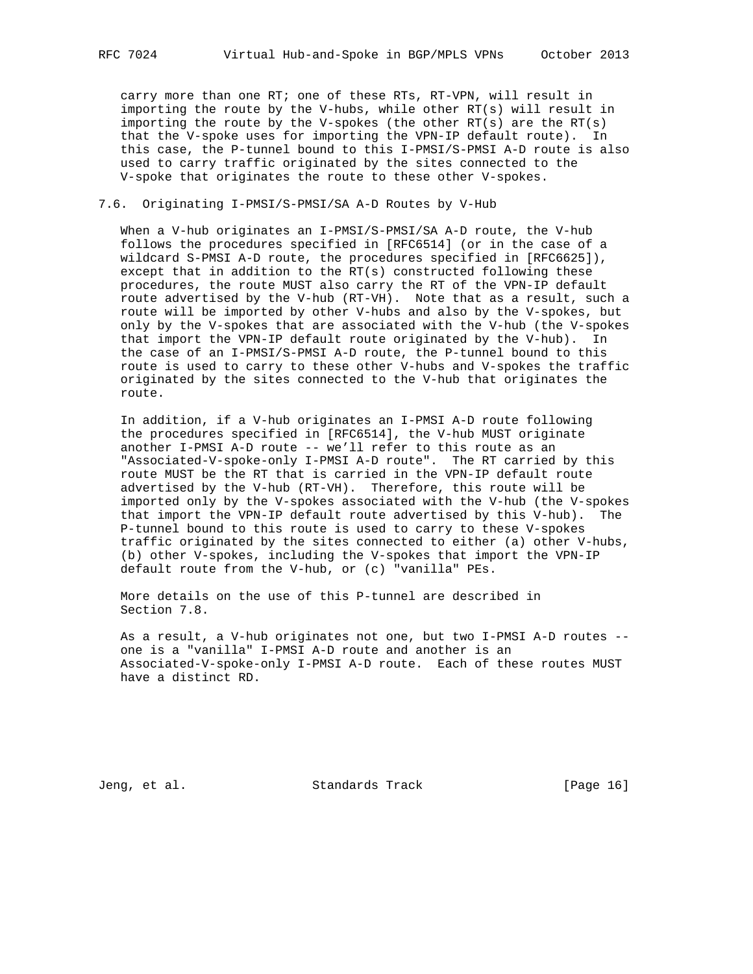carry more than one RT; one of these RTs, RT-VPN, will result in importing the route by the V-hubs, while other RT(s) will result in importing the route by the V-spokes (the other  $RT(s)$  are the  $RT(s)$ ) that the V-spoke uses for importing the VPN-IP default route). In this case, the P-tunnel bound to this I-PMSI/S-PMSI A-D route is also used to carry traffic originated by the sites connected to the V-spoke that originates the route to these other V-spokes.

#### 7.6. Originating I-PMSI/S-PMSI/SA A-D Routes by V-Hub

 When a V-hub originates an I-PMSI/S-PMSI/SA A-D route, the V-hub follows the procedures specified in [RFC6514] (or in the case of a wildcard S-PMSI A-D route, the procedures specified in [RFC6625]), except that in addition to the RT(s) constructed following these procedures, the route MUST also carry the RT of the VPN-IP default route advertised by the V-hub (RT-VH). Note that as a result, such a route will be imported by other V-hubs and also by the V-spokes, but only by the V-spokes that are associated with the V-hub (the V-spokes that import the VPN-IP default route originated by the V-hub). In the case of an I-PMSI/S-PMSI A-D route, the P-tunnel bound to this route is used to carry to these other V-hubs and V-spokes the traffic originated by the sites connected to the V-hub that originates the route.

 In addition, if a V-hub originates an I-PMSI A-D route following the procedures specified in [RFC6514], the V-hub MUST originate another I-PMSI A-D route -- we'll refer to this route as an "Associated-V-spoke-only I-PMSI A-D route". The RT carried by this route MUST be the RT that is carried in the VPN-IP default route advertised by the V-hub (RT-VH). Therefore, this route will be imported only by the V-spokes associated with the V-hub (the V-spokes that import the VPN-IP default route advertised by this V-hub). The P-tunnel bound to this route is used to carry to these V-spokes traffic originated by the sites connected to either (a) other V-hubs, (b) other V-spokes, including the V-spokes that import the VPN-IP default route from the V-hub, or (c) "vanilla" PEs.

 More details on the use of this P-tunnel are described in Section 7.8.

 As a result, a V-hub originates not one, but two I-PMSI A-D routes - one is a "vanilla" I-PMSI A-D route and another is an Associated-V-spoke-only I-PMSI A-D route. Each of these routes MUST have a distinct RD.

Jeng, et al. Standards Track [Page 16]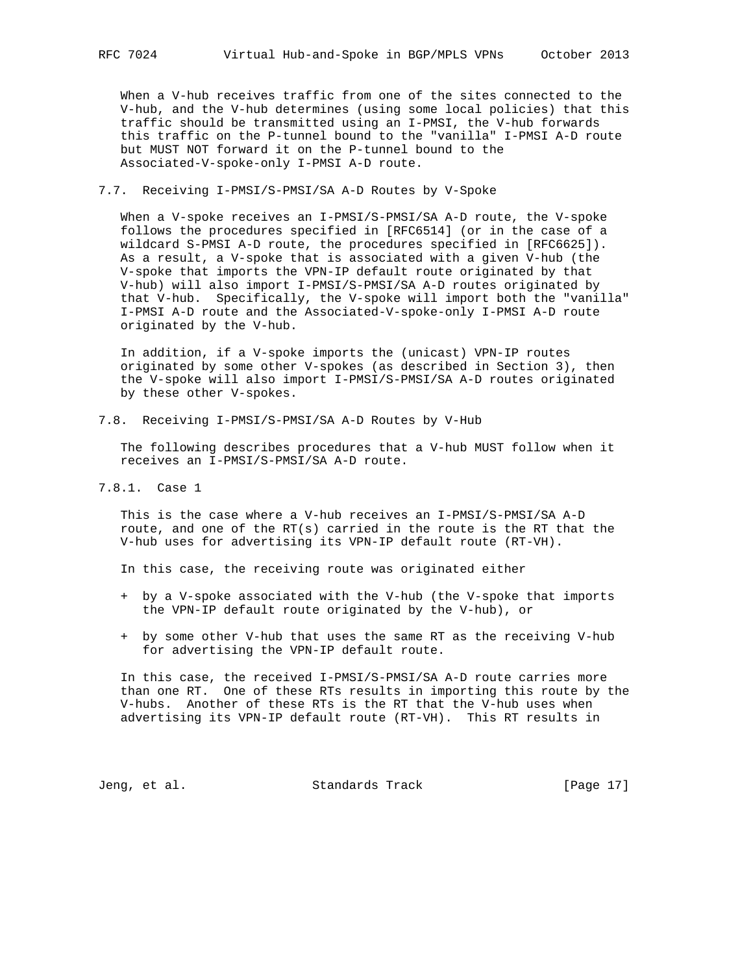When a V-hub receives traffic from one of the sites connected to the V-hub, and the V-hub determines (using some local policies) that this traffic should be transmitted using an I-PMSI, the V-hub forwards this traffic on the P-tunnel bound to the "vanilla" I-PMSI A-D route but MUST NOT forward it on the P-tunnel bound to the Associated-V-spoke-only I-PMSI A-D route.

#### 7.7. Receiving I-PMSI/S-PMSI/SA A-D Routes by V-Spoke

 When a V-spoke receives an I-PMSI/S-PMSI/SA A-D route, the V-spoke follows the procedures specified in [RFC6514] (or in the case of a wildcard S-PMSI A-D route, the procedures specified in [RFC6625]). As a result, a V-spoke that is associated with a given V-hub (the V-spoke that imports the VPN-IP default route originated by that V-hub) will also import I-PMSI/S-PMSI/SA A-D routes originated by that V-hub. Specifically, the V-spoke will import both the "vanilla" I-PMSI A-D route and the Associated-V-spoke-only I-PMSI A-D route originated by the V-hub.

 In addition, if a V-spoke imports the (unicast) VPN-IP routes originated by some other V-spokes (as described in Section 3), then the V-spoke will also import I-PMSI/S-PMSI/SA A-D routes originated by these other V-spokes.

7.8. Receiving I-PMSI/S-PMSI/SA A-D Routes by V-Hub

 The following describes procedures that a V-hub MUST follow when it receives an I-PMSI/S-PMSI/SA A-D route.

7.8.1. Case 1

 This is the case where a V-hub receives an I-PMSI/S-PMSI/SA A-D route, and one of the  $RT(s)$  carried in the route is the RT that the V-hub uses for advertising its VPN-IP default route (RT-VH).

In this case, the receiving route was originated either

- + by a V-spoke associated with the V-hub (the V-spoke that imports the VPN-IP default route originated by the V-hub), or
- + by some other V-hub that uses the same RT as the receiving V-hub for advertising the VPN-IP default route.

 In this case, the received I-PMSI/S-PMSI/SA A-D route carries more than one RT. One of these RTs results in importing this route by the V-hubs. Another of these RTs is the RT that the V-hub uses when advertising its VPN-IP default route (RT-VH). This RT results in

Jeng, et al. Standards Track [Page 17]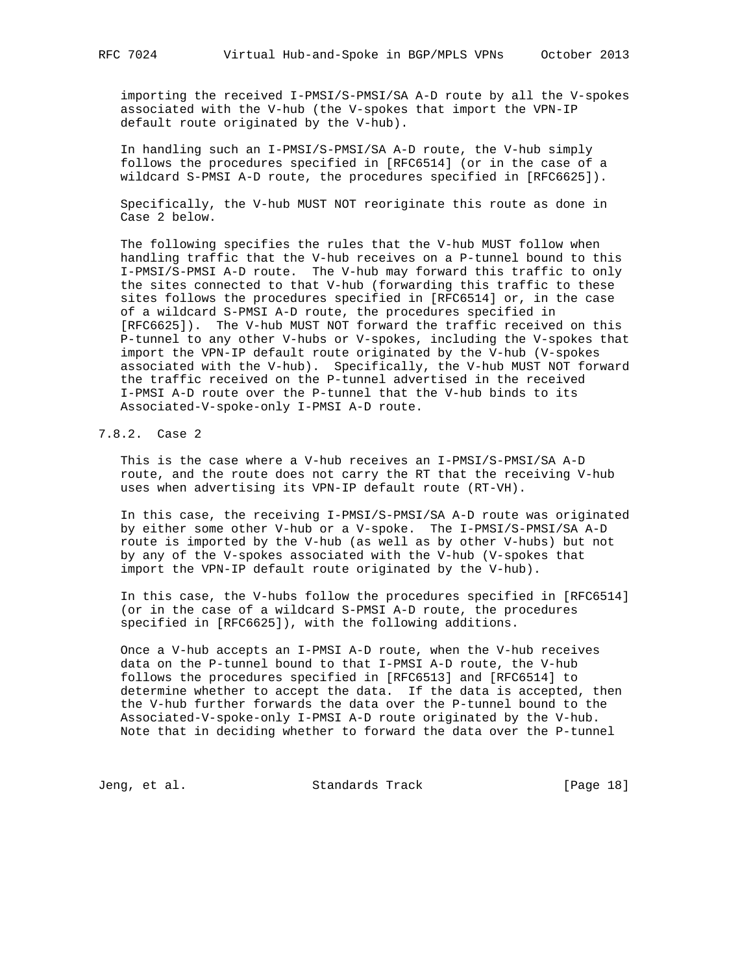importing the received I-PMSI/S-PMSI/SA A-D route by all the V-spokes associated with the V-hub (the V-spokes that import the VPN-IP default route originated by the V-hub).

 In handling such an I-PMSI/S-PMSI/SA A-D route, the V-hub simply follows the procedures specified in [RFC6514] (or in the case of a wildcard S-PMSI A-D route, the procedures specified in [RFC6625]).

 Specifically, the V-hub MUST NOT reoriginate this route as done in Case 2 below.

 The following specifies the rules that the V-hub MUST follow when handling traffic that the V-hub receives on a P-tunnel bound to this I-PMSI/S-PMSI A-D route. The V-hub may forward this traffic to only the sites connected to that V-hub (forwarding this traffic to these sites follows the procedures specified in [RFC6514] or, in the case of a wildcard S-PMSI A-D route, the procedures specified in [RFC6625]). The V-hub MUST NOT forward the traffic received on this P-tunnel to any other V-hubs or V-spokes, including the V-spokes that import the VPN-IP default route originated by the V-hub (V-spokes associated with the V-hub). Specifically, the V-hub MUST NOT forward the traffic received on the P-tunnel advertised in the received I-PMSI A-D route over the P-tunnel that the V-hub binds to its Associated-V-spoke-only I-PMSI A-D route.

# 7.8.2. Case 2

 This is the case where a V-hub receives an I-PMSI/S-PMSI/SA A-D route, and the route does not carry the RT that the receiving V-hub uses when advertising its VPN-IP default route (RT-VH).

 In this case, the receiving I-PMSI/S-PMSI/SA A-D route was originated by either some other V-hub or a V-spoke. The I-PMSI/S-PMSI/SA A-D route is imported by the V-hub (as well as by other V-hubs) but not by any of the V-spokes associated with the V-hub (V-spokes that import the VPN-IP default route originated by the V-hub).

 In this case, the V-hubs follow the procedures specified in [RFC6514] (or in the case of a wildcard S-PMSI A-D route, the procedures specified in [RFC6625]), with the following additions.

 Once a V-hub accepts an I-PMSI A-D route, when the V-hub receives data on the P-tunnel bound to that I-PMSI A-D route, the V-hub follows the procedures specified in [RFC6513] and [RFC6514] to determine whether to accept the data. If the data is accepted, then the V-hub further forwards the data over the P-tunnel bound to the Associated-V-spoke-only I-PMSI A-D route originated by the V-hub. Note that in deciding whether to forward the data over the P-tunnel

Jeng, et al. Standards Track [Page 18]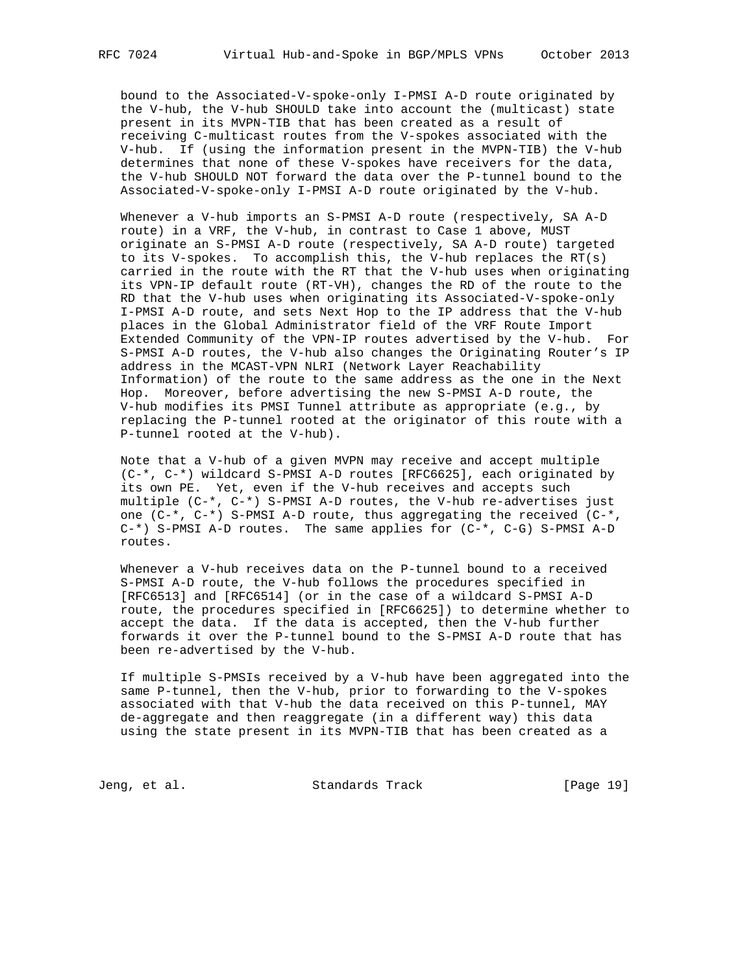bound to the Associated-V-spoke-only I-PMSI A-D route originated by the V-hub, the V-hub SHOULD take into account the (multicast) state present in its MVPN-TIB that has been created as a result of receiving C-multicast routes from the V-spokes associated with the V-hub. If (using the information present in the MVPN-TIB) the V-hub determines that none of these V-spokes have receivers for the data, the V-hub SHOULD NOT forward the data over the P-tunnel bound to the Associated-V-spoke-only I-PMSI A-D route originated by the V-hub.

 Whenever a V-hub imports an S-PMSI A-D route (respectively, SA A-D route) in a VRF, the V-hub, in contrast to Case 1 above, MUST originate an S-PMSI A-D route (respectively, SA A-D route) targeted to its V-spokes. To accomplish this, the V-hub replaces the RT(s) carried in the route with the RT that the V-hub uses when originating its VPN-IP default route (RT-VH), changes the RD of the route to the RD that the V-hub uses when originating its Associated-V-spoke-only I-PMSI A-D route, and sets Next Hop to the IP address that the V-hub places in the Global Administrator field of the VRF Route Import Extended Community of the VPN-IP routes advertised by the V-hub. For S-PMSI A-D routes, the V-hub also changes the Originating Router's IP address in the MCAST-VPN NLRI (Network Layer Reachability Information) of the route to the same address as the one in the Next Hop. Moreover, before advertising the new S-PMSI A-D route, the V-hub modifies its PMSI Tunnel attribute as appropriate (e.g., by replacing the P-tunnel rooted at the originator of this route with a P-tunnel rooted at the V-hub).

 Note that a V-hub of a given MVPN may receive and accept multiple (C-\*, C-\*) wildcard S-PMSI A-D routes [RFC6625], each originated by its own PE. Yet, even if the V-hub receives and accepts such multiple (C-\*, C-\*) S-PMSI A-D routes, the V-hub re-advertises just one  $(C^{-*}, C^{-*})$  S-PMSI A-D route, thus aggregating the received  $(C^{-*}, C^{-*})$  C-\*) S-PMSI A-D routes. The same applies for (C-\*, C-G) S-PMSI A-D routes.

 Whenever a V-hub receives data on the P-tunnel bound to a received S-PMSI A-D route, the V-hub follows the procedures specified in [RFC6513] and [RFC6514] (or in the case of a wildcard S-PMSI A-D route, the procedures specified in [RFC6625]) to determine whether to accept the data. If the data is accepted, then the V-hub further forwards it over the P-tunnel bound to the S-PMSI A-D route that has been re-advertised by the V-hub.

 If multiple S-PMSIs received by a V-hub have been aggregated into the same P-tunnel, then the V-hub, prior to forwarding to the V-spokes associated with that V-hub the data received on this P-tunnel, MAY de-aggregate and then reaggregate (in a different way) this data using the state present in its MVPN-TIB that has been created as a

Jeng, et al. Standards Track [Page 19]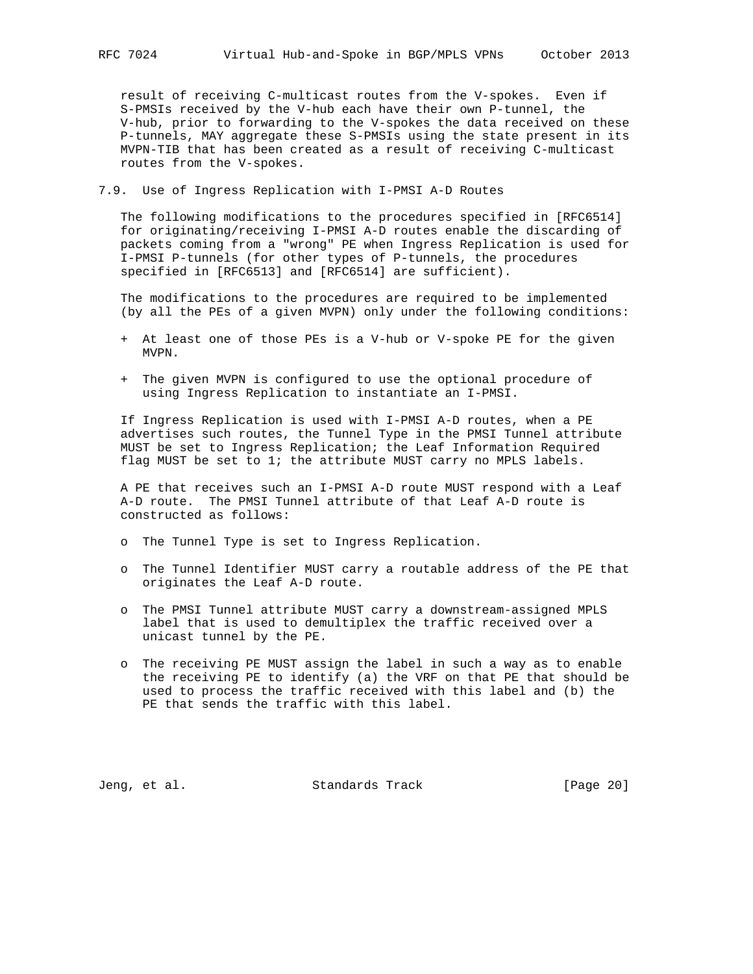result of receiving C-multicast routes from the V-spokes. Even if S-PMSIs received by the V-hub each have their own P-tunnel, the V-hub, prior to forwarding to the V-spokes the data received on these P-tunnels, MAY aggregate these S-PMSIs using the state present in its MVPN-TIB that has been created as a result of receiving C-multicast routes from the V-spokes.

7.9. Use of Ingress Replication with I-PMSI A-D Routes

 The following modifications to the procedures specified in [RFC6514] for originating/receiving I-PMSI A-D routes enable the discarding of packets coming from a "wrong" PE when Ingress Replication is used for I-PMSI P-tunnels (for other types of P-tunnels, the procedures specified in [RFC6513] and [RFC6514] are sufficient).

 The modifications to the procedures are required to be implemented (by all the PEs of a given MVPN) only under the following conditions:

- + At least one of those PEs is a V-hub or V-spoke PE for the given MVPN.
- + The given MVPN is configured to use the optional procedure of using Ingress Replication to instantiate an I-PMSI.

 If Ingress Replication is used with I-PMSI A-D routes, when a PE advertises such routes, the Tunnel Type in the PMSI Tunnel attribute MUST be set to Ingress Replication; the Leaf Information Required flag MUST be set to 1; the attribute MUST carry no MPLS labels.

 A PE that receives such an I-PMSI A-D route MUST respond with a Leaf A-D route. The PMSI Tunnel attribute of that Leaf A-D route is constructed as follows:

- o The Tunnel Type is set to Ingress Replication.
- o The Tunnel Identifier MUST carry a routable address of the PE that originates the Leaf A-D route.
- o The PMSI Tunnel attribute MUST carry a downstream-assigned MPLS label that is used to demultiplex the traffic received over a unicast tunnel by the PE.
- o The receiving PE MUST assign the label in such a way as to enable the receiving PE to identify (a) the VRF on that PE that should be used to process the traffic received with this label and (b) the PE that sends the traffic with this label.

Jeng, et al. Standards Track [Page 20]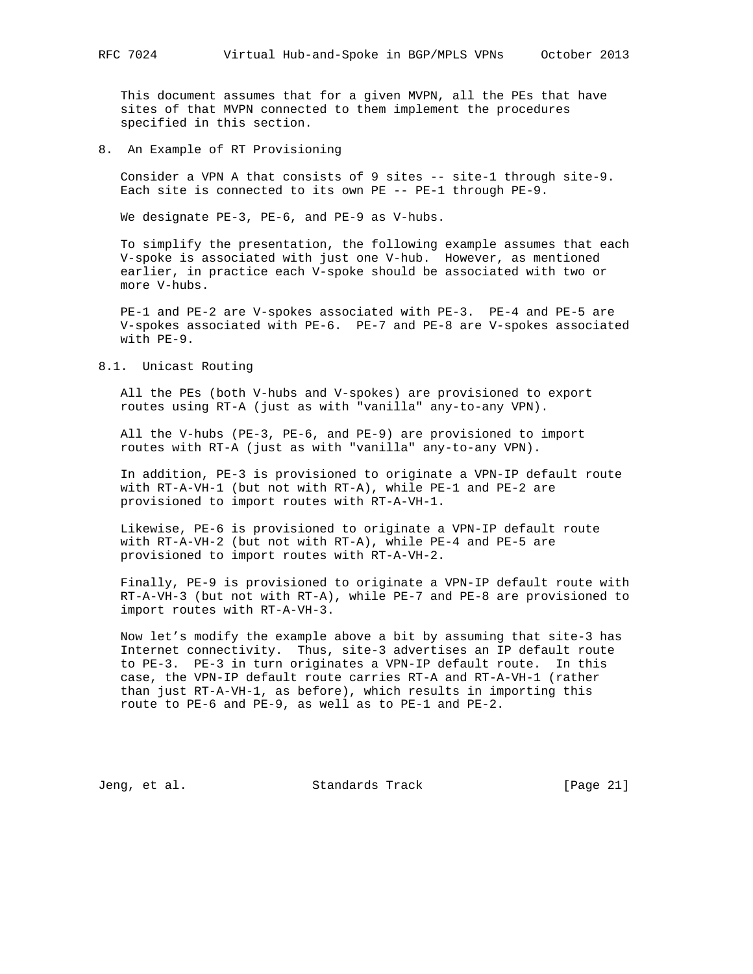This document assumes that for a given MVPN, all the PEs that have sites of that MVPN connected to them implement the procedures specified in this section.

8. An Example of RT Provisioning

 Consider a VPN A that consists of 9 sites -- site-1 through site-9. Each site is connected to its own PE -- PE-1 through PE-9.

We designate PE-3, PE-6, and PE-9 as V-hubs.

 To simplify the presentation, the following example assumes that each V-spoke is associated with just one V-hub. However, as mentioned earlier, in practice each V-spoke should be associated with two or more V-hubs.

 PE-1 and PE-2 are V-spokes associated with PE-3. PE-4 and PE-5 are V-spokes associated with PE-6. PE-7 and PE-8 are V-spokes associated with PE-9.

8.1. Unicast Routing

 All the PEs (both V-hubs and V-spokes) are provisioned to export routes using RT-A (just as with "vanilla" any-to-any VPN).

 All the V-hubs (PE-3, PE-6, and PE-9) are provisioned to import routes with RT-A (just as with "vanilla" any-to-any VPN).

 In addition, PE-3 is provisioned to originate a VPN-IP default route with RT-A-VH-1 (but not with RT-A), while PE-1 and PE-2 are provisioned to import routes with RT-A-VH-1.

 Likewise, PE-6 is provisioned to originate a VPN-IP default route with RT-A-VH-2 (but not with RT-A), while PE-4 and PE-5 are provisioned to import routes with RT-A-VH-2.

 Finally, PE-9 is provisioned to originate a VPN-IP default route with RT-A-VH-3 (but not with RT-A), while PE-7 and PE-8 are provisioned to import routes with RT-A-VH-3.

 Now let's modify the example above a bit by assuming that site-3 has Internet connectivity. Thus, site-3 advertises an IP default route to PE-3. PE-3 in turn originates a VPN-IP default route. In this case, the VPN-IP default route carries RT-A and RT-A-VH-1 (rather than just RT-A-VH-1, as before), which results in importing this route to PE-6 and PE-9, as well as to PE-1 and PE-2.

Jeng, et al. Standards Track [Page 21]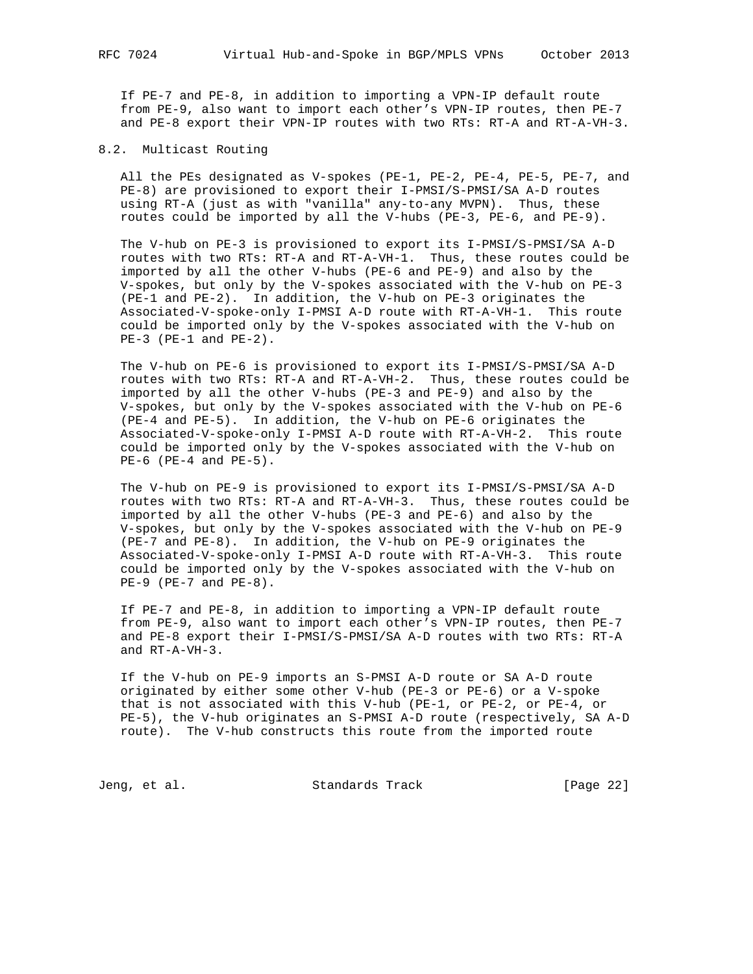If PE-7 and PE-8, in addition to importing a VPN-IP default route from PE-9, also want to import each other's VPN-IP routes, then PE-7 and PE-8 export their VPN-IP routes with two RTs: RT-A and RT-A-VH-3.

#### 8.2. Multicast Routing

 All the PEs designated as V-spokes (PE-1, PE-2, PE-4, PE-5, PE-7, and PE-8) are provisioned to export their I-PMSI/S-PMSI/SA A-D routes using RT-A (just as with "vanilla" any-to-any MVPN). Thus, these routes could be imported by all the V-hubs (PE-3, PE-6, and PE-9).

 The V-hub on PE-3 is provisioned to export its I-PMSI/S-PMSI/SA A-D routes with two RTs: RT-A and RT-A-VH-1. Thus, these routes could be imported by all the other V-hubs (PE-6 and PE-9) and also by the V-spokes, but only by the V-spokes associated with the V-hub on PE-3 (PE-1 and PE-2). In addition, the V-hub on PE-3 originates the Associated-V-spoke-only I-PMSI A-D route with RT-A-VH-1. This route could be imported only by the V-spokes associated with the V-hub on PE-3 (PE-1 and PE-2).

 The V-hub on PE-6 is provisioned to export its I-PMSI/S-PMSI/SA A-D routes with two RTs: RT-A and RT-A-VH-2. Thus, these routes could be imported by all the other V-hubs (PE-3 and PE-9) and also by the V-spokes, but only by the V-spokes associated with the V-hub on PE-6 (PE-4 and PE-5). In addition, the V-hub on PE-6 originates the Associated-V-spoke-only I-PMSI A-D route with RT-A-VH-2. This route could be imported only by the V-spokes associated with the V-hub on PE-6 (PE-4 and PE-5).

 The V-hub on PE-9 is provisioned to export its I-PMSI/S-PMSI/SA A-D routes with two RTs: RT-A and RT-A-VH-3. Thus, these routes could be imported by all the other V-hubs (PE-3 and PE-6) and also by the V-spokes, but only by the V-spokes associated with the V-hub on PE-9 (PE-7 and PE-8). In addition, the V-hub on PE-9 originates the Associated-V-spoke-only I-PMSI A-D route with RT-A-VH-3. This route could be imported only by the V-spokes associated with the V-hub on PE-9 (PE-7 and PE-8).

 If PE-7 and PE-8, in addition to importing a VPN-IP default route from PE-9, also want to import each other's VPN-IP routes, then PE-7 and PE-8 export their I-PMSI/S-PMSI/SA A-D routes with two RTs: RT-A and RT-A-VH-3.

 If the V-hub on PE-9 imports an S-PMSI A-D route or SA A-D route originated by either some other V-hub (PE-3 or PE-6) or a V-spoke that is not associated with this V-hub (PE-1, or PE-2, or PE-4, or PE-5), the V-hub originates an S-PMSI A-D route (respectively, SA A-D route). The V-hub constructs this route from the imported route

Jeng, et al. Standards Track [Page 22]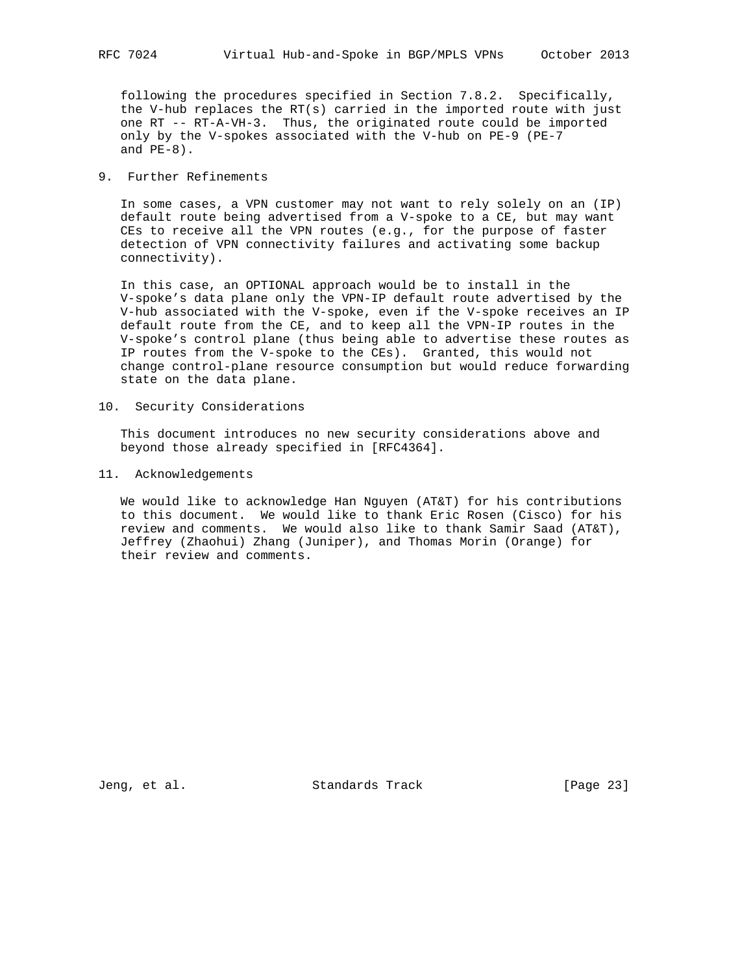following the procedures specified in Section 7.8.2. Specifically, the V-hub replaces the RT(s) carried in the imported route with just one RT -- RT-A-VH-3. Thus, the originated route could be imported only by the V-spokes associated with the V-hub on PE-9 (PE-7 and PE-8).

## 9. Further Refinements

 In some cases, a VPN customer may not want to rely solely on an (IP) default route being advertised from a V-spoke to a CE, but may want CEs to receive all the VPN routes (e.g., for the purpose of faster detection of VPN connectivity failures and activating some backup connectivity).

 In this case, an OPTIONAL approach would be to install in the V-spoke's data plane only the VPN-IP default route advertised by the V-hub associated with the V-spoke, even if the V-spoke receives an IP default route from the CE, and to keep all the VPN-IP routes in the V-spoke's control plane (thus being able to advertise these routes as IP routes from the V-spoke to the CEs). Granted, this would not change control-plane resource consumption but would reduce forwarding state on the data plane.

10. Security Considerations

 This document introduces no new security considerations above and beyond those already specified in [RFC4364].

11. Acknowledgements

 We would like to acknowledge Han Nguyen (AT&T) for his contributions to this document. We would like to thank Eric Rosen (Cisco) for his review and comments. We would also like to thank Samir Saad (AT&T), Jeffrey (Zhaohui) Zhang (Juniper), and Thomas Morin (Orange) for their review and comments.

Jeng, et al. Standards Track [Page 23]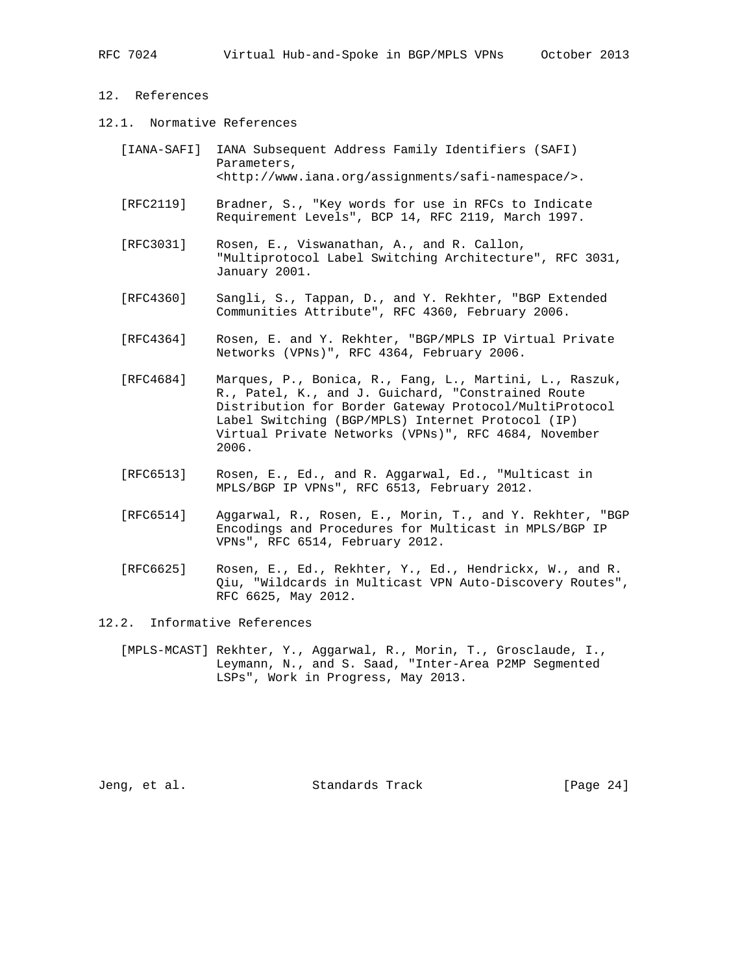# 12. References

12.1. Normative References

| [IANA-SAFI] IANA Subsequent Address Family Identifiers (SAFI)      |
|--------------------------------------------------------------------|
| Parameters,                                                        |
| <http: assignments="" safi-namespace="" www.iana.org=""></http:> . |

- [RFC2119] Bradner, S., "Key words for use in RFCs to Indicate Requirement Levels", BCP 14, RFC 2119, March 1997.
- [RFC3031] Rosen, E., Viswanathan, A., and R. Callon, "Multiprotocol Label Switching Architecture", RFC 3031, January 2001.
- [RFC4360] Sangli, S., Tappan, D., and Y. Rekhter, "BGP Extended Communities Attribute", RFC 4360, February 2006.
- [RFC4364] Rosen, E. and Y. Rekhter, "BGP/MPLS IP Virtual Private Networks (VPNs)", RFC 4364, February 2006.
- [RFC4684] Marques, P., Bonica, R., Fang, L., Martini, L., Raszuk, R., Patel, K., and J. Guichard, "Constrained Route Distribution for Border Gateway Protocol/MultiProtocol Label Switching (BGP/MPLS) Internet Protocol (IP) Virtual Private Networks (VPNs)", RFC 4684, November 2006.
- [RFC6513] Rosen, E., Ed., and R. Aggarwal, Ed., "Multicast in MPLS/BGP IP VPNs", RFC 6513, February 2012.
- [RFC6514] Aggarwal, R., Rosen, E., Morin, T., and Y. Rekhter, "BGP Encodings and Procedures for Multicast in MPLS/BGP IP VPNs", RFC 6514, February 2012.
- [RFC6625] Rosen, E., Ed., Rekhter, Y., Ed., Hendrickx, W., and R. Qiu, "Wildcards in Multicast VPN Auto-Discovery Routes", RFC 6625, May 2012.

12.2. Informative References

 [MPLS-MCAST] Rekhter, Y., Aggarwal, R., Morin, T., Grosclaude, I., Leymann, N., and S. Saad, "Inter-Area P2MP Segmented LSPs", Work in Progress, May 2013.

Jeng, et al. Standards Track [Page 24]